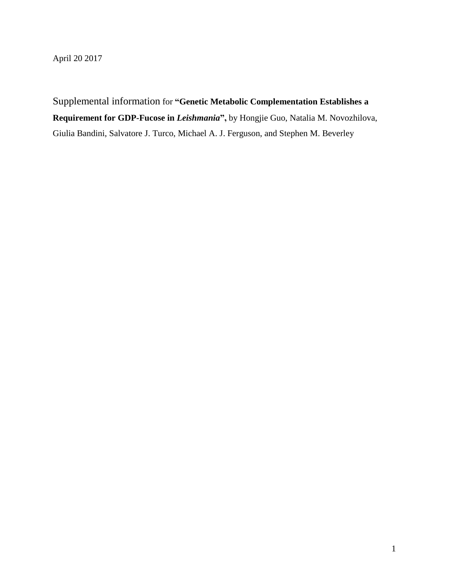April 20 2017

Supplemental information for **"Genetic Metabolic Complementation Establishes a Requirement for GDP-Fucose in** *Leishmania***",** by Hongjie Guo, Natalia M. Novozhilova, Giulia Bandini, Salvatore J. Turco, Michael A. J. Ferguson, and Stephen M. Beverley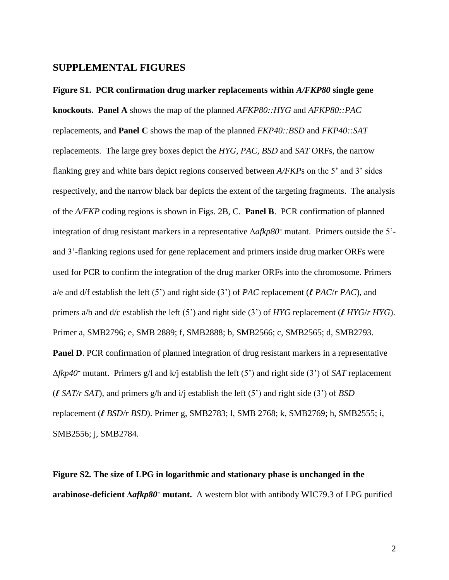## **SUPPLEMENTAL FIGURES**

**Figure S1. PCR confirmation drug marker replacements within** *A/FKP80* **single gene knockouts. Panel A** shows the map of the planned *AFKP80::HYG* and *AFKP80::PAC* replacements, and **Panel C** shows the map of the planned *FKP40::BSD* and *FKP40::SAT* replacements. The large grey boxes depict the *HYG*, *PAC*, *BSD* and *SAT* ORFs, the narrow flanking grey and white bars depict regions conserved between *A/FKP*s on the 5' and 3' sides respectively, and the narrow black bar depicts the extent of the targeting fragments. The analysis of the *A/FKP* coding regions is shown in Figs. 2B, C. **Panel B**. PCR confirmation of planned integration of drug resistant markers in a representative Δ*afkp80*- mutant. Primers outside the 5' and 3'-flanking regions used for gene replacement and primers inside drug marker ORFs were used for PCR to confirm the integration of the drug marker ORFs into the chromosome. Primers a/e and d/f establish the left (5') and right side (3') of *PAC* replacement (*ℓ PAC*/*r PAC*), and primers a/b and d/c establish the left (5') and right side (3') of *HYG* replacement (*ℓ HYG*/*r HYG*). Primer a, SMB2796; e, SMB 2889; f, SMB2888; b, SMB2566; c, SMB2565; d, SMB2793. **Panel D.** PCR confirmation of planned integration of drug resistant markers in a representative ∆*fkp40*- mutant. Primers g/l and k/j establish the left (5') and right side (3') of *SAT* replacement (*ℓ SAT/r SAT*), and primers g/h and i/j establish the left (5') and right side (3') of *BSD* replacement (*ℓ BSD/r BSD*). Primer g, SMB2783; l, SMB 2768; k, SMB2769; h, SMB2555; i, SMB2556; j, SMB2784.

**Figure S2. The size of LPG in logarithmic and stationary phase is unchanged in the arabinose-deficient Δ***afkp80*- **mutant.** A western blot with antibody WIC79.3 of LPG purified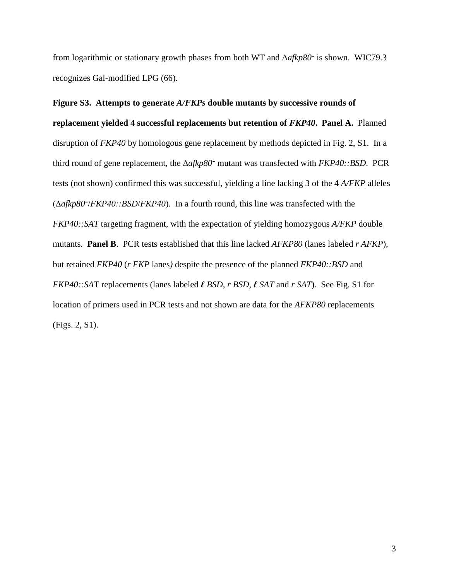from logarithmic or stationary growth phases from both WT and Δ*afkp80*- is shown. WIC79.3 recognizes Gal-modified LPG (66).

**Figure S3. Attempts to generate** *A/FKPs* **double mutants by successive rounds of replacement yielded 4 successful replacements but retention of** *FKP40***. Panel A.** Planned disruption of *FKP40* by homologous gene replacement by methods depicted in Fig. 2, S1. In a third round of gene replacement, the ∆*afkp80*- mutant was transfected with *FKP40::BSD*. PCR tests (not shown) confirmed this was successful, yielding a line lacking 3 of the 4 *A/FKP* alleles (∆*afkp80*- /*FKP40::BSD*/*FKP40*). In a fourth round, this line was transfected with the *FKP40::SAT* targeting fragment, with the expectation of yielding homozygous *A/FKP* double mutants. **Panel B**. PCR tests established that this line lacked *AFKP80* (lanes labeled *r AFKP*), but retained *FKP40* (*r FKP* lanes*)* despite the presence of the planned *FKP40::BSD* and *FKP40::SA*T replacements (lanes labeled *ℓ BSD*, *r BSD*, *ℓ SAT* and *r SAT*). See Fig. S1 for location of primers used in PCR tests and not shown are data for the *AFKP80* replacements (Figs. 2, S1).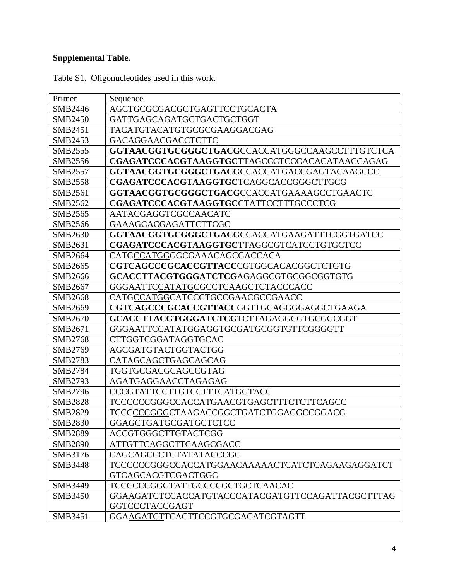## **Supplemental Table.**

| Primer         | Sequence                                         |
|----------------|--------------------------------------------------|
| SMB2446        | AGCTGCGCGACGCTGAGTTCCTGCACTA                     |
| <b>SMB2450</b> | GATTGAGCAGATGCTGACTGCTGGT                        |
| SMB2451        | TACATGTACATGTGCGCGAAGGACGAG                      |
| SMB2453        | GACAGGAACGACCTCTTC                               |
| SMB2555        | GGTAACGGTGCGGGCTGACGCCACCATGGGCCAAGCCTTTGTCTCA   |
| SMB2556        | CGAGATCCCACGTAAGGTGCTTAGCCCTCCCACACATAACCAGAG    |
| <b>SMB2557</b> | GGTAACGGTGCGGGCTGACGCCACCATGACCGAGTACAAGCCC      |
| <b>SMB2558</b> | CGAGATCCCACGTAAGGTGCTCAGGCACCGGGCTTGCG           |
| SMB2561        | GGTAACGGTGCGGGCTGACGCCACCATGAAAAGCCTGAACTC       |
| SMB2562        | CGAGATCCCACGTAAGGTGCCTATTCCTTTGCCCTCG            |
| SMB2565        | AATACGAGGTCGCCAACATC                             |
| <b>SMB2566</b> | GAAAGCACGAGATTCTTCGC                             |
| SMB2630        | GGTAACGGTGCGGGCTGACGCCACCATGAAGATTTCGGTGATCC     |
| SMB2631        | CGAGATCCCACGTAAGGTGCTTAGGCGTCATCCTGTGCTCC        |
| SMB2664        | CATGCCATGGGGCGAAACAGCGACCACA                     |
| SMB2665        | CGTCAGCCCGCACCGTTACCCGTGGCACACGGCTCTGTG          |
| SMB2666        | GCACCTTACGTGGGATCTCGAGAGGCGTGCGGCGGTGTG          |
| SMB2667        | GGGAATTCCATATGCGCCTCAAGCTCTACCCACC               |
| SMB2668        | CATGCCATGGCATCCCTGCCGAACGCCGAACC                 |
| SMB2669        | CGTCAGCCCGCACCGTTACCGGTTGCAGGGGAGGCTGAAGA        |
| SMB2670        | GCACCTTACGTGGGATCTCGTCTTAGAGGCGTGCGGCGGT         |
| SMB2671        | GGGAATTCCATATGGAGGTGCGATGCGGTGTTCGGGGTT          |
| <b>SMB2768</b> | CTTGGTCGGATAGGTGCAC                              |
| SMB2769        | AGCGATGTACTGGTACTGG                              |
| SMB2783        | CATAGCAGCTGAGCAGCAG                              |
| <b>SMB2784</b> | TGGTGCGACGCAGCCGTAG                              |
| SMB2793        | AGATGAGGAACCTAGAGAG                              |
| <b>SMB2796</b> | CCCGTATTCCTTGTCCTTTCATGGTACC                     |
| <b>SMB2828</b> | TCCCCCCGGGCCACCATGAACGTGAGCTTTCTCTTCAGCC         |
| <b>SMB2829</b> | TCCCCCCGGGCTAAGACCGGCTGATCTGGAGGCCGGACG          |
| <b>SMB2830</b> | GGAGCTGATGCGATGCTCTCC                            |
| <b>SMB2889</b> | <b>ACCGTGGGCTTGTACTCGG</b>                       |
| <b>SMB2890</b> | ATTGTTCAGGCTTCAAGCGACC                           |
| SMB3176        | CAGCAGCCCTCTATATACCCGC                           |
| <b>SMB3448</b> | TCCCCCCGGGCCACCATGGAACAAAAACTCATCTCAGAAGAGGATCT  |
|                | <b>GTCAGCACGTCGACTGGC</b>                        |
| SMB3449        | TCCCCCCGGGTATTGCCCCGCTGCTCAACAC                  |
| <b>SMB3450</b> | GGAAGATCTCCACCATGTACCCATACGATGTTCCAGATTACGCTTTAG |
|                | <b>GGTCCCTACCGAGT</b>                            |
| SMB3451        | GGAAGATCTTCACTTCCGTGCGACATCGTAGTT                |

Table S1. Oligonucleotides used in this work.